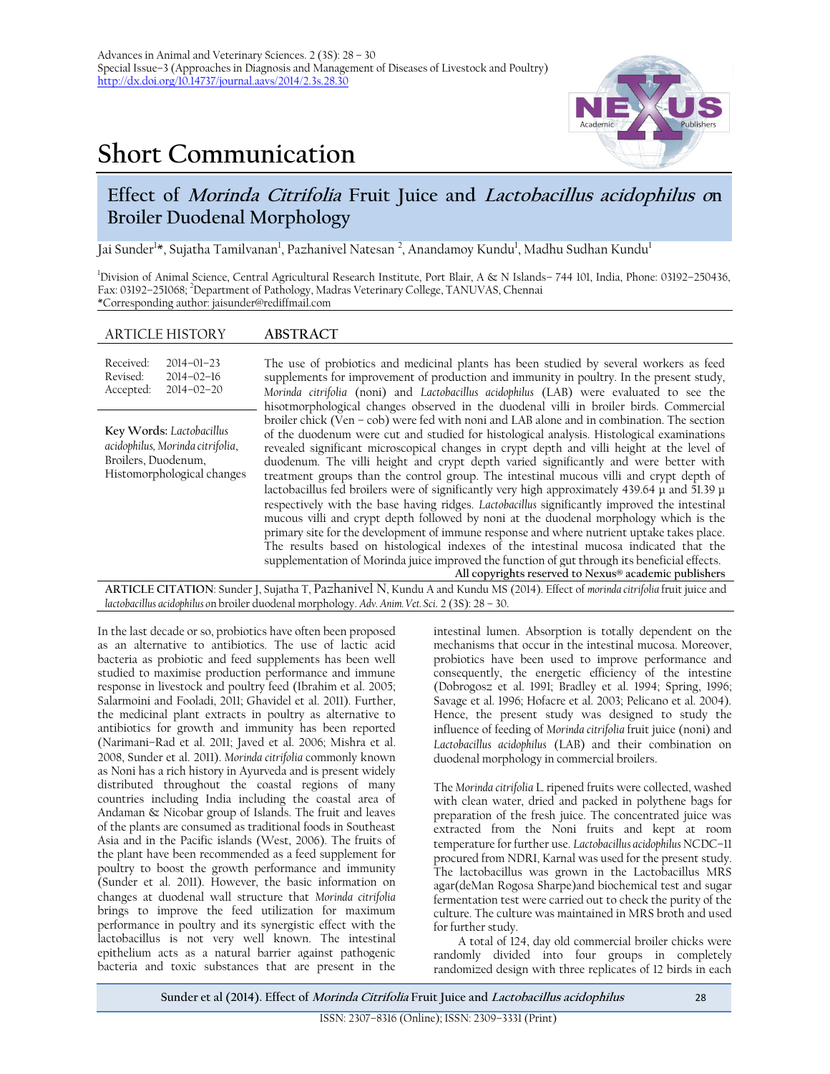# **Short Communication**



# **Effect of Morinda Citrifolia Fruit Juice and Lactobacillus acidophilus on Broiler Duodenal Morphology**

Jai Sunder<sup>1</sup>\*, Sujatha Tamilvanan<sup>1</sup>, Pazhanivel Natesan <sup>2</sup>, Anandamoy Kundu<sup>1</sup>, Madhu Sudhan Kundu<sup>1</sup>

<sup>1</sup>Division of Animal Science, Central Agricultural Research Institute, Port Blair, A & N Islands– 744 101, India, Phone: 03192–250436, Fax: 03192–251068; <sup>2</sup>Department of Pathology, Madras Veterinary College, TANUVAS, Chennai \*Corresponding author: [jaisunder@rediffmail.com](mailto:jaisunder@rediffmail.com)

## ARTICLE HISTORY **ABSTRACT**

| Received: | $2014 - 01 - 23$ |
|-----------|------------------|
| Revised:  | $2014 - 02 - 16$ |
| Accepted: | $2014 - 02 - 20$ |

**Key Words:** *Lactobacillus acidophilus, Morinda citrifolia*, Broilers, Duodenum, Histomorphological changes

The use of probiotics and medicinal plants has been studied by several workers as feed supplements for improvement of production and immunity in poultry. In the present study, *Morinda citrifolia* (noni) and *Lactobacillus acidophilus* (LAB) were evaluated to see the hisotmorphological changes observed in the duodenal villi in broiler birds. Commercial broiler chick (Ven – cob) were fed with noni and LAB alone and in combination. The section of the duodenum were cut and studied for histological analysis. Histological examinations revealed significant microscopical changes in crypt depth and villi height at the level of duodenum. The villi height and crypt depth varied significantly and were better with treatment groups than the control group. The intestinal mucous villi and crypt depth of lactobacillus fed broilers were of significantly very high approximately 439.64 µ and 51.39 µ respectively with the base having ridges. *Lactobacillus* significantly improved the intestinal mucous villi and crypt depth followed by noni at the duodenal morphology which is the primary site for the development of immune response and where nutrient uptake takes place. The results based on histological indexes of the intestinal mucosa indicated that the supplementation of Morinda juice improved the function of gut through its beneficial effects.

**All copyrights reserved to Nexus® academic publishers ARTICLE CITATION**: Sunder J, Sujatha T, Pazhanivel N, Kundu A and Kundu MS (2014). Effect of *morinda citrifolia* fruit juice and *lactobacillus acidophilus o*n broiler duodenal morphology. *Adv. Anim. Vet. Sci*. 2 (3S): 28 – 30.

In the last decade or so, probiotics have often been proposed as an alternative to antibiotics. The use of lactic acid bacteria as probiotic and feed supplements has been well studied to maximise production performance and immune response in livestock and poultry feed (Ibrahim et al. 2005; Salarmoini and Fooladi, 2011; Ghavidel et al. 2011). Further, the medicinal plant extracts in poultry as alternative to antibiotics for growth and immunity has been reported (Narimani–Rad et al. 2011; Javed et al. 2006; Mishra et al. 2008, Sunder et al. 2011). *Morinda citrifolia* commonly known as Noni has a rich history in Ayurveda and is present widely distributed throughout the coastal regions of many countries including India including the coastal area of Andaman & Nicobar group of Islands. The fruit and leaves of the plants are consumed as traditional foods in Southeast Asia and in the Pacific islands (West, 2006). The fruits of the plant have been recommended as a feed supplement for poultry to boost the growth performance and immunity (Sunder et al. 2011). However, the basic information on changes at duodenal wall structure that *Morinda citrifolia*  brings to improve the feed utilization for maximum performance in poultry and its synergistic effect with the lactobacillus is not very well known. The intestinal epithelium acts as a natural barrier against pathogenic bacteria and toxic substances that are present in the

intestinal lumen. Absorption is totally dependent on the mechanisms that occur in the intestinal mucosa. Moreover, probiotics have been used to improve performance and consequently, the energetic efficiency of the intestine (Dobrogosz et al. 1991; Bradley et al. 1994; Spring, 1996; Savage et al. 1996; Hofacre et al. 2003; Pelicano et al. 2004). Hence, the present study was designed to study the influence of feeding of *Morinda citrifolia* fruit juice (noni) and *Lactobacillus acidophilus* (LAB) and their combination on duodenal morphology in commercial broilers.

The *Morinda citrifolia* L*.* ripened fruits were collected, washed with clean water, dried and packed in polythene bags for preparation of the fresh juice. The concentrated juice was extracted from the Noni fruits and kept at room temperature for further use. *Lactobacillus acidophilus* NCDC–11 procured from NDRI, Karnal was used for the present study. The lactobacillus was grown in the Lactobacillus MRS agar(deMan Rogosa Sharpe)and biochemical test and sugar fermentation test were carried out to check the purity of the culture. The culture was maintained in MRS broth and used for further study.

A total of 124, day old commercial broiler chicks were randomly divided into four groups in completely randomized design with three replicates of 12 birds in each

**Sunder et al (2014). Effect of Morinda Citrifolia Fruit Juice and Lactobacillus acidophilus** 28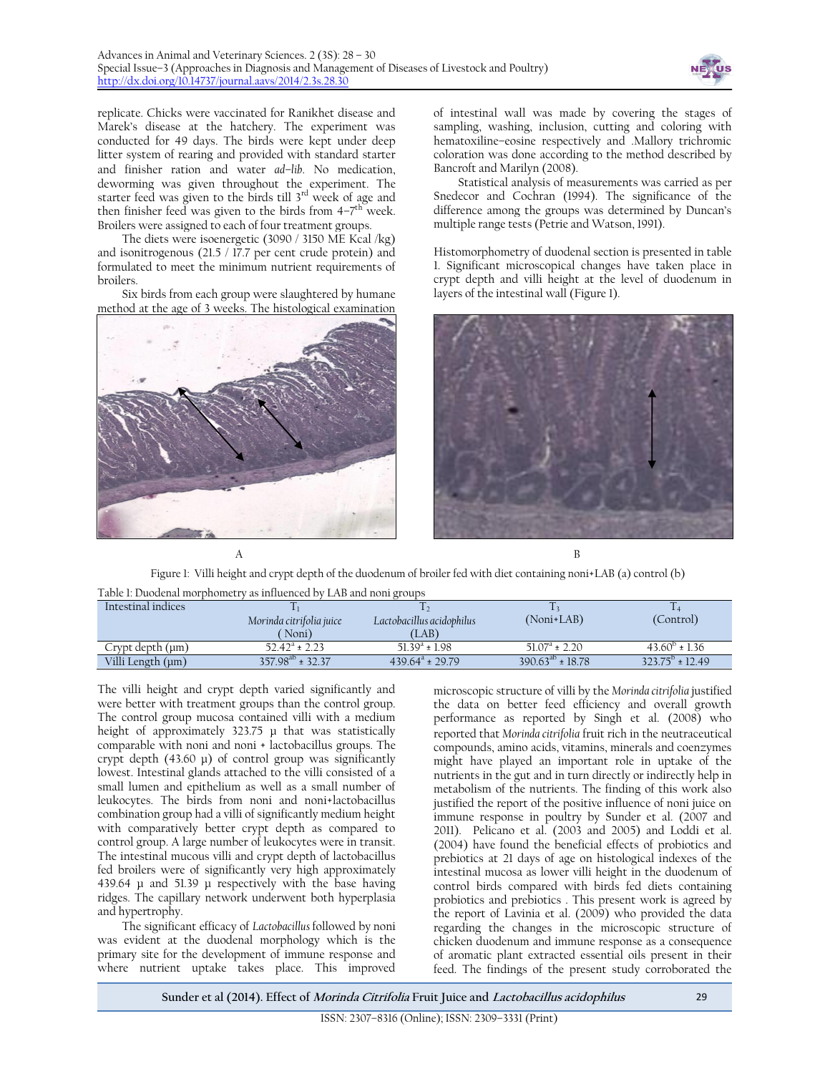

replicate. Chicks were vaccinated for Ranikhet disease and Marek's disease at the hatchery. The experiment was conducted for 49 days. The birds were kept under deep litter system of rearing and provided with standard starter and finisher ration and water *ad–lib*. No medication, deworming was given throughout the experiment. The starter feed was given to the birds till 3<sup>rd</sup> week of age and then finisher feed was given to the birds from  $4-7^{\text{th}}$  week. Broilers were assigned to each of four treatment groups.

The diets were isoenergetic (3090 / 3150 ME Kcal /kg) and isonitrogenous (21.5 / 17.7 per cent crude protein) and formulated to meet the minimum nutrient requirements of broilers.

Six birds from each group were slaughtered by humane method at the age of 3 weeks. The histological examination



of intestinal wall was made by covering the stages of sampling, washing, inclusion, cutting and coloring with hematoxiline–eosine respectively and .Mallory trichromic coloration was done according to the method described by Bancroft and Marilyn (2008).

Statistical analysis of measurements was carried as per Snedecor and Cochran (1994). The significance of the difference among the groups was determined by Duncan's multiple range tests (Petrie and Watson, 1991).

Histomorphometry of duodenal section is presented in table 1. Significant microscopical changes have taken place in crypt depth and villi height at the level of duodenum in layers of the intestinal wall (Figure 1).



Figure 1: Villi height and crypt depth of the duodenum of broiler fed with diet containing noni+LAB (a) control (b)

| Table 1: Duodenal morphometry as influenced by LAB and noni groups |  |  |  |  |  |  |
|--------------------------------------------------------------------|--|--|--|--|--|--|
|                                                                    |  |  |  |  |  |  |

| Intestinal indices |                          |                           |                         |                          |
|--------------------|--------------------------|---------------------------|-------------------------|--------------------------|
|                    | Morinda citrifolia juice | Lactobacillus acidophilus | $(Noni+LAB)$            | (Control)                |
|                    | Noni)                    | (LAB)                     |                         |                          |
| Crypt depth (µm)   | $52.42^a \pm 2.23$       | $51.39^a \pm 1.98$        | $51.07^a \pm 2.20$      | $43.60^{\circ}$ ± 1.36   |
| Villi Length (µm)  | $357.98^{ab} \pm 32.37$  | $439.64^a \pm 29.79$      | $390.63^{ab} \pm 18.78$ | $323.75^{\circ}$ ± 12.49 |

The villi height and crypt depth varied significantly and were better with treatment groups than the control group. The control group mucosa contained villi with a medium height of approximately 323.75 µ that was statistically comparable with noni and noni + lactobacillus groups. The crypt depth  $(43.60 \mu)$  of control group was significantly lowest. Intestinal glands attached to the villi consisted of a small lumen and epithelium as well as a small number of leukocytes. The birds from noni and noni+lactobacillus combination group had a villi of significantly medium height with comparatively better crypt depth as compared to control group. A large number of leukocytes were in transit. The intestinal mucous villi and crypt depth of lactobacillus fed broilers were of significantly very high approximately 439.64 µ and 51.39 µ respectively with the base having ridges. The capillary network underwent both hyperplasia and hypertrophy.

The significant efficacy of *Lactobacillus* followed by noni was evident at the duodenal morphology which is the primary site for the development of immune response and where nutrient uptake takes place. This improved

microscopic structure of villi by the *Morinda citrifolia* justified the data on better feed efficiency and overall growth performance as reported by Singh et al. (2008) who reported that *Morinda citrifolia* fruit rich in the neutraceutical compounds, amino acids, vitamins, minerals and coenzymes might have played an important role in uptake of the nutrients in the gut and in turn directly or indirectly help in metabolism of the nutrients. The finding of this work also justified the report of the positive influence of noni juice on immune response in poultry by Sunder et al. (2007 and 2011). Pelicano et al. (2003 and 2005) and Loddi et al. (2004) have found the beneficial effects of probiotics and prebiotics at 21 days of age on histological indexes of the intestinal mucosa as lower villi height in the duodenum of control birds compared with birds fed diets containing probiotics and prebiotics . This present work is agreed by the report of Lavinia et al. (2009) who provided the data regarding the changes in the microscopic structure of chicken duodenum and immune response as a consequence of aromatic plant extracted essential oils present in their feed. The findings of the present study corroborated the

**Sunder et al (2014). Effect of Morinda Citrifolia Fruit Juice and Lactobacillus acidophilus** 29